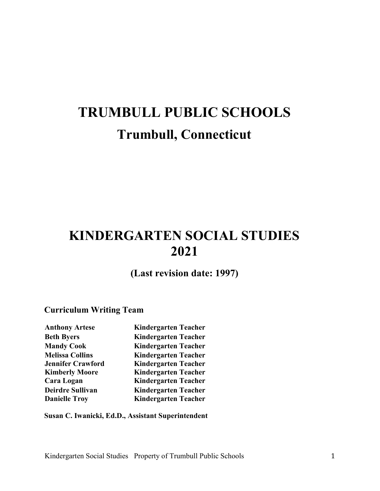# **TRUMBULL PUBLIC SCHOOLS Trumbull, Connecticut**

## **KINDERGARTEN SOCIAL STUDIES 2021**

**(Last revision date: 1997)**

### **Curriculum Writing Team**

| <b>Anthony Artese</b>    | <b>Kindergarten Teacher</b> |
|--------------------------|-----------------------------|
| <b>Beth Byers</b>        | <b>Kindergarten Teacher</b> |
| <b>Mandy Cook</b>        | <b>Kindergarten Teacher</b> |
| <b>Melissa Collins</b>   | <b>Kindergarten Teacher</b> |
| <b>Jennifer Crawford</b> | <b>Kindergarten Teacher</b> |
| <b>Kimberly Moore</b>    | <b>Kindergarten Teacher</b> |
| Cara Logan               | <b>Kindergarten Teacher</b> |
| Deirdre Sullivan         | <b>Kindergarten Teacher</b> |
| <b>Danielle Troy</b>     | <b>Kindergarten Teacher</b> |
|                          |                             |

**Susan C. Iwanicki, Ed.D., Assistant Superintendent**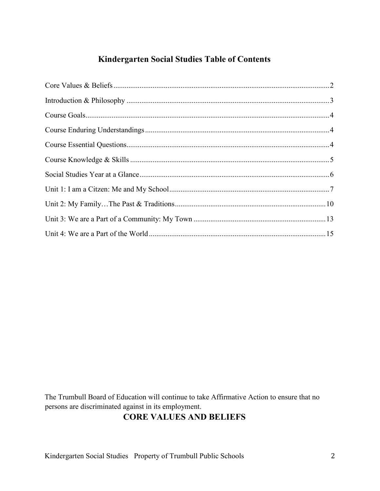### **Kindergarten Social Studies Table of Contents**

<span id="page-1-0"></span>The Trumbull Board of Education will continue to take Affirmative Action to ensure that no persons are discriminated against in its employment.

### **CORE VALUES AND BELIEFS**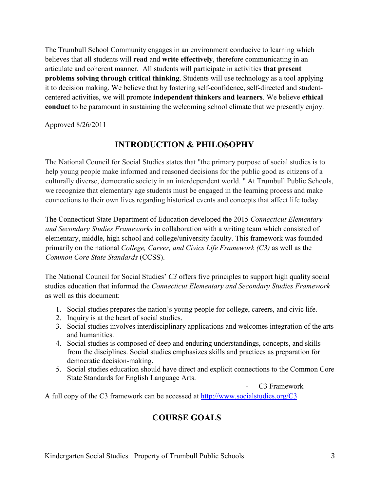The Trumbull School Community engages in an environment conducive to learning which believes that all students will **read** and **write effectively**, therefore communicating in an articulate and coherent manner. All students will participate in activities **that present problems solving through critical thinking**. Students will use technology as a tool applying it to decision making. We believe that by fostering self-confidence, self-directed and studentcentered activities, we will promote **independent thinkers and learners**. We believe **ethical conduct** to be paramount in sustaining the welcoming school climate that we presently enjoy.

<span id="page-2-0"></span>Approved 8/26/2011

### **INTRODUCTION & PHILOSOPHY**

The National Council for Social Studies states that "the primary purpose of social studies is to help young people make informed and reasoned decisions for the public good as citizens of a culturally diverse, democratic society in an interdependent world. " At Trumbull Public Schools, we recognize that elementary age students must be engaged in the learning process and make connections to their own lives regarding historical events and concepts that affect life today.

The Connecticut State Department of Education developed the 2015 *Connecticut Elementary and Secondary Studies Frameworks* in collaboration with a writing team which consisted of elementary, middle, high school and college/university faculty. This framework was founded primarily on the national *College, Career, and Civics Life Framework (C3)* as well as the *Common Core State Standards* (CCSS).

The National Council for Social Studies' *C3* offers five principles to support high quality social studies education that informed the *Connecticut Elementary and Secondary Studies Framework*  as well as this document:

- 1. Social studies prepares the nation's young people for college, careers, and civic life.
- 2. Inquiry is at the heart of social studies.
- 3. Social studies involves interdisciplinary applications and welcomes integration of the arts and humanities.
- 4. Social studies is composed of deep and enduring understandings, concepts, and skills from the disciplines. Social studies emphasizes skills and practices as preparation for democratic decision-making.
- 5. Social studies education should have direct and explicit connections to the Common Core State Standards for English Language Arts.

<span id="page-2-1"></span>C3 Framework

A full copy of the C3 framework can be accessed at<http://www.socialstudies.org/C3>

### **COURSE GOALS**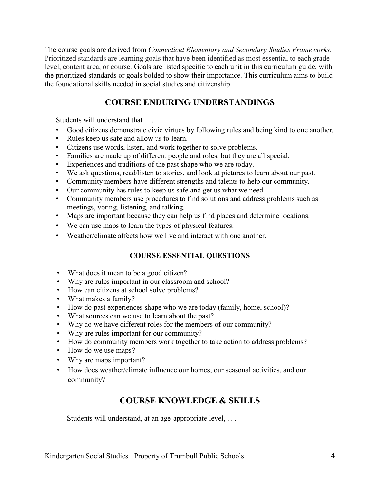The course goals are derived from *Connecticut Elementary and Secondary Studies Frameworks*. Prioritized standards are learning goals that have been identified as most essential to each grade level, content area, or course. Goals are listed specific to each unit in this curriculum guide, with the prioritized standards or goals bolded to show their importance. This curriculum aims to build the foundational skills needed in social studies and citizenship.

### **COURSE ENDURING UNDERSTANDINGS**

<span id="page-3-0"></span>Students will understand that . . .

- Good citizens demonstrate civic virtues by following rules and being kind to one another.
- Rules keep us safe and allow us to learn.
- Citizens use words, listen, and work together to solve problems.
- Families are made up of different people and roles, but they are all special.
- Experiences and traditions of the past shape who we are today.
- We ask questions, read/listen to stories, and look at pictures to learn about our past.
- Community members have different strengths and talents to help our community.
- Our community has rules to keep us safe and get us what we need.
- Community members use procedures to find solutions and address problems such as meetings, voting, listening, and talking.
- Maps are important because they can help us find places and determine locations.
- We can use maps to learn the types of physical features.
- Weather/climate affects how we live and interact with one another.

#### **COURSE ESSENTIAL QUESTIONS**

- <span id="page-3-1"></span>• What does it mean to be a good citizen?
- Why are rules important in our classroom and school?
- How can citizens at school solve problems?
- What makes a family?
- How do past experiences shape who we are today (family, home, school)?
- What sources can we use to learn about the past?
- Why do we have different roles for the members of our community?
- Why are rules important for our community?
- How do community members work together to take action to address problems?
- How do we use maps?
- Why are maps important?
- How does weather/climate influence our homes, our seasonal activities, and our community?

### **COURSE KNOWLEDGE & SKILLS**

<span id="page-3-2"></span>Students will understand, at an age-appropriate level, . . .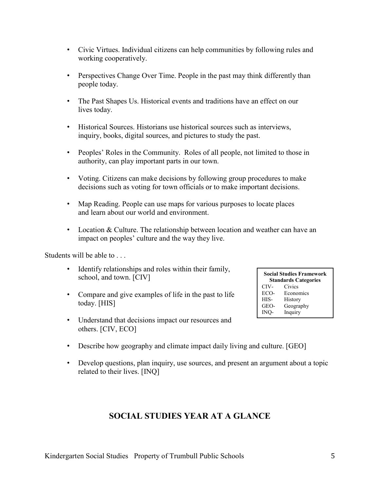- Civic Virtues. Individual citizens can help communities by following rules and working cooperatively.
- Perspectives Change Over Time. People in the past may think differently than people today.
- The Past Shapes Us. Historical events and traditions have an effect on our lives today.
- Historical Sources. Historians use historical sources such as interviews, inquiry, books, digital sources, and pictures to study the past.
- Peoples' Roles in the Community. Roles of all people, not limited to those in authority, can play important parts in our town.
- Voting. Citizens can make decisions by following group procedures to make decisions such as voting for town officials or to make important decisions.
- Map Reading. People can use maps for various purposes to locate places and learn about our world and environment.
- Location & Culture. The relationship between location and weather can have an impact on peoples' culture and the way they live.

Students will be able to . . .

- Identify relationships and roles within their family, school, and town. [CIV]
- Compare and give examples of life in the past to life today. [HIS]
- Understand that decisions impact our resources and others. [CIV, ECO]
- **Social Studies Framework Standards Categories**<br>CIV- Civics CIV- Civics ECO-<br>HIS- History History GEO- Geography INQ- Inquiry
- Describe how geography and climate impact daily living and culture. [GEO]
- <span id="page-4-0"></span>• Develop questions, plan inquiry, use sources, and present an argument about a topic related to their lives. [INQ]

### **SOCIAL STUDIES YEAR AT A GLANCE**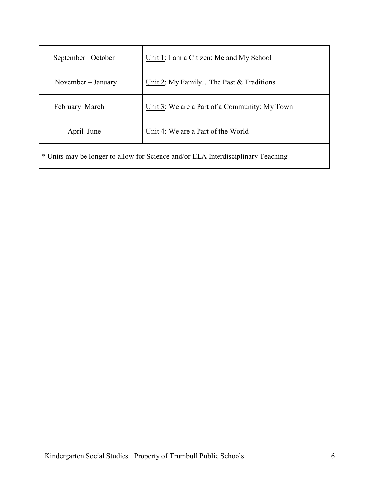| September-October                                                                | Unit 1: I am a Citizen: Me and My School      |  |
|----------------------------------------------------------------------------------|-----------------------------------------------|--|
| November – January                                                               | Unit 2: My FamilyThe Past & Traditions        |  |
| February–March                                                                   | Unit 3: We are a Part of a Community: My Town |  |
| April–June                                                                       | Unit 4: We are a Part of the World            |  |
| * Units may be longer to allow for Science and/or ELA Interdisciplinary Teaching |                                               |  |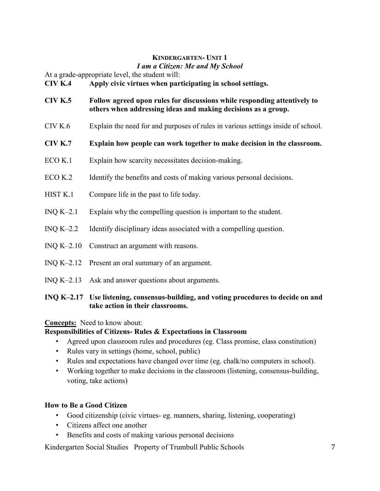### **KINDERGARTEN- UNIT 1**

#### *I am a Citizen: Me and My School*

At a grade-appropriate level, the student will:

#### **CIV K.4 Apply civic virtues when participating in school settings.**

- **CIV K.5 Follow agreed upon rules for discussions while responding attentively to others when addressing ideas and making decisions as a group.**
- CIV K.6 Explain the need for and purposes of rules in various settings inside of school.
- **CIV K.7 Explain how people can work together to make decision in the classroom.**
- ECO K.1 Explain how scarcity necessitates decision-making.
- ECO K.2 Identify the benefits and costs of making various personal decisions.
- HIST K.1 Compare life in the past to life today.
- INQ K–2.1 Explain why the compelling question is important to the student.
- INQ K–2.2 Identify disciplinary ideas associated with a compelling question.
- INQ K–2.10 Construct an argument with reasons.
- INQ K–2.12 Present an oral summary of an argument.
- INQ K–2.13 Ask and answer questions about arguments.

### **INQ K–2.17 Use listening, consensus-building, and voting procedures to decide on and take action in their classrooms.**

#### **Concepts:** Need to know about:

#### **Responsibilities of Citizens- Rules & Expectations in Classroom**

- Agreed upon classroom rules and procedures (eg. Class promise, class constitution)
- Rules vary in settings (home, school, public)
- Rules and expectations have changed over time (eg. chalk/no computers in school).
- Working together to make decisions in the classroom (listening, consensus-building, voting, take actions)

#### **How to Be a Good Citizen**

- Good citizenship (civic virtues- eg. manners, sharing, listening, cooperating)
- Citizens affect one another
- Benefits and costs of making various personal decisions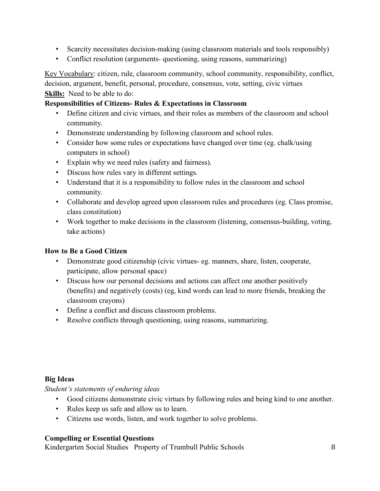- Scarcity necessitates decision-making (using classroom materials and tools responsibly)
- Conflict resolution (arguments- questioning, using reasons, summarizing)

Key Vocabulary: citizen, rule, classroom community, school community, responsibility, conflict, decision, argument, benefit, personal, procedure, consensus, vote, setting, civic virtues **Skills:** Need to be able to do:

### **Responsibilities of Citizens- Rules & Expectations in Classroom**

- Define citizen and civic virtues, and their roles as members of the classroom and school community.
- Demonstrate understanding by following classroom and school rules.
- Consider how some rules or expectations have changed over time (eg. chalk/using computers in school)
- Explain why we need rules (safety and fairness).
- Discuss how rules vary in different settings.
- Understand that it is a responsibility to follow rules in the classroom and school community.
- Collaborate and develop agreed upon classroom rules and procedures (eg. Class promise, class constitution)
- Work together to make decisions in the classroom (listening, consensus-building, voting, take actions)

### **How to Be a Good Citizen**

- Demonstrate good citizenship (civic virtues- eg. manners, share, listen, cooperate, participate, allow personal space)
- Discuss how our personal decisions and actions can affect one another positively (benefits) and negatively (costs) (eg, kind words can lead to more friends, breaking the classroom crayons)
- Define a conflict and discuss classroom problems.
- Resolve conflicts through questioning, using reasons, summarizing.

### **Big Ideas**

*Student's statements of enduring ideas*

- Good citizens demonstrate civic virtues by following rules and being kind to one another.
- Rules keep us safe and allow us to learn.
- Citizens use words, listen, and work together to solve problems.

### **Compelling or Essential Questions**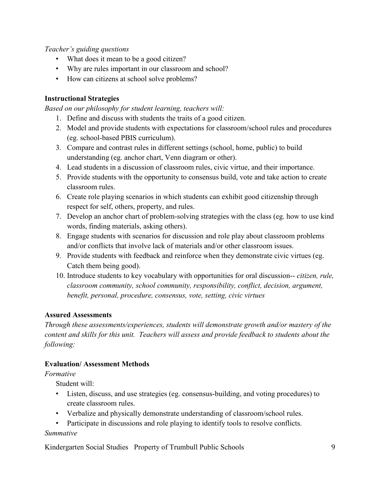### *Teacher's guiding questions*

- What does it mean to be a good citizen?
- Why are rules important in our classroom and school?
- How can citizens at school solve problems?

### **Instructional Strategies**

*Based on our philosophy for student learning, teachers will:*

- 1. Define and discuss with students the traits of a good citizen.
- 2. Model and provide students with expectations for classroom/school rules and procedures (eg. school-based PBIS curriculum).
- 3. Compare and contrast rules in different settings (school, home, public) to build understanding (eg. anchor chart, Venn diagram or other).
- 4. Lead students in a discussion of classroom rules, civic virtue, and their importance.
- 5. Provide students with the opportunity to consensus build, vote and take action to create classroom rules.
- 6. Create role playing scenarios in which students can exhibit good citizenship through respect for self, others, property, and rules.
- 7. Develop an anchor chart of problem-solving strategies with the class (eg. how to use kind words, finding materials, asking others).
- 8. Engage students with scenarios for discussion and role play about classroom problems and/or conflicts that involve lack of materials and/or other classroom issues.
- 9. Provide students with feedback and reinforce when they demonstrate civic virtues (eg. Catch them being good).
- 10. Introduce students to key vocabulary with opportunities for oral discussion-- *citizen, rule, classroom community, school community, responsibility, conflict, decision, argument, benefit, personal, procedure, consensus, vote, setting, civic virtues*

### **Assured Assessments**

*Through these assessments/experiences, students will demonstrate growth and/or mastery of the content and skills for this unit. Teachers will assess and provide feedback to students about the following:*

### **Evaluation/ Assessment Methods**

### *Formative*

Student will:

- Listen, discuss, and use strategies (eg. consensus-building, and voting procedures) to create classroom rules.
- Verbalize and physically demonstrate understanding of classroom/school rules.
- Participate in discussions and role playing to identify tools to resolve conflicts.

### *Summative*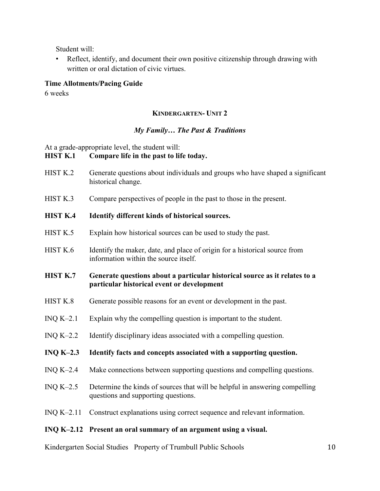Student will:

• Reflect, identify, and document their own positive citizenship through drawing with written or oral dictation of civic virtues.

#### **Time Allotments/Pacing Guide**

6 weeks

#### **KINDERGARTEN- UNIT 2**

#### *My Family… The Past & Traditions*

At a grade-appropriate level, the student will:

#### **HIST K.1 Compare life in the past to life today.**

- HIST K.2 Generate questions about individuals and groups who have shaped a significant historical change.
- HIST K.3 Compare perspectives of people in the past to those in the present.

#### **HIST K.4 Identify different kinds of historical sources.**

- HIST K.5 Explain how historical sources can be used to study the past.
- HIST K.6 Identify the maker, date, and place of origin for a historical source from information within the source itself.

#### **HIST K.7 Generate questions about a particular historical source as it relates to a particular historical event or development**

- HIST K.8 Generate possible reasons for an event or development in the past.
- INQ K–2.1 Explain why the compelling question is important to the student.
- INQ K–2.2 Identify disciplinary ideas associated with a compelling question.
- **INQ K–2.3 Identify facts and concepts associated with a supporting question.**
- INQ K–2.4 Make connections between supporting questions and compelling questions.
- INQ K–2.5 Determine the kinds of sources that will be helpful in answering compelling questions and supporting questions.
- INQ K–2.11 Construct explanations using correct sequence and relevant information.

#### **INQ K–2.12 Present an oral summary of an argument using a visual.**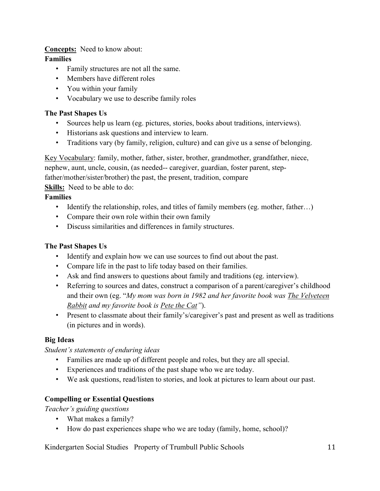### **Concepts:** Need to know about:

### **Families**

- Family structures are not all the same.
- Members have different roles
- You within your family
- Vocabulary we use to describe family roles

### **The Past Shapes Us**

- Sources help us learn (eg. pictures, stories, books about traditions, interviews).
- Historians ask questions and interview to learn.
- Traditions vary (by family, religion, culture) and can give us a sense of belonging.

Key Vocabulary: family, mother, father, sister, brother, grandmother, grandfather, niece, nephew, aunt, uncle, cousin, (as needed-- caregiver, guardian, foster parent, step-

father/mother/sister/brother) the past, the present, tradition, compare

**Skills:** Need to be able to do:

### **Families**

- Identify the relationship, roles, and titles of family members (eg. mother, father…)
- Compare their own role within their own family
- Discuss similarities and differences in family structures.

### **The Past Shapes Us**

- Identify and explain how we can use sources to find out about the past.
- Compare life in the past to life today based on their families.
- Ask and find answers to questions about family and traditions (eg. interview).
- Referring to sources and dates, construct a comparison of a parent/caregiver's childhood and their own (eg. "*My mom was born in 1982 and her favorite book was The Velveteen Rabbit and my favorite book is Pete the Cat"*).
- Present to classmate about their family's/caregiver's past and present as well as traditions (in pictures and in words).

### **Big Ideas**

### *Student's statements of enduring ideas*

- Families are made up of different people and roles, but they are all special.
- Experiences and traditions of the past shape who we are today.
- We ask questions, read/listen to stories, and look at pictures to learn about our past.

### **Compelling or Essential Questions**

*Teacher's guiding questions*

- What makes a family?
- How do past experiences shape who we are today (family, home, school)?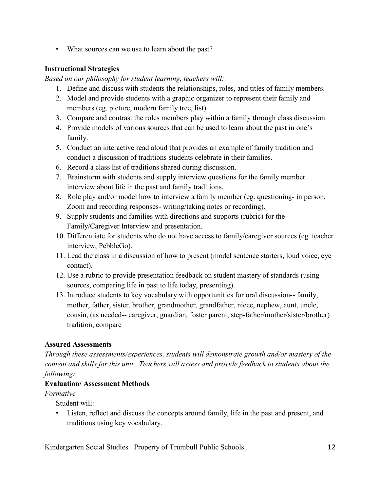• What sources can we use to learn about the past?

### **Instructional Strategies**

*Based on our philosophy for student learning, teachers will:*

- 1. Define and discuss with students the relationships, roles, and titles of family members.
- 2. Model and provide students with a graphic organizer to represent their family and members (eg. picture, modern family tree, list)
- 3. Compare and contrast the roles members play within a family through class discussion.
- 4. Provide models of various sources that can be used to learn about the past in one's family.
- 5. Conduct an interactive read aloud that provides an example of family tradition and conduct a discussion of traditions students celebrate in their families.
- 6. Record a class list of traditions shared during discussion.
- 7. Brainstorm with students and supply interview questions for the family member interview about life in the past and family traditions.
- 8. Role play and/or model how to interview a family member (eg. questioning- in person, Zoom and recording responses- writing/taking notes or recording).
- 9. Supply students and families with directions and supports (rubric) for the Family/Caregiver Interview and presentation.
- 10. Differentiate for students who do not have access to family/caregiver sources (eg. teacher interview, PebbleGo).
- 11. Lead the class in a discussion of how to present (model sentence starters, loud voice, eye contact).
- 12. Use a rubric to provide presentation feedback on student mastery of standards (using sources, comparing life in past to life today, presenting).
- 13. Introduce students to key vocabulary with opportunities for oral discussion-- family, mother, father, sister, brother, grandmother, grandfather, niece, nephew, aunt, uncle, cousin, (as needed-- caregiver, guardian, foster parent, step-father/mother/sister/brother) tradition, compare

### **Assured Assessments**

*Through these assessments/experiences, students will demonstrate growth and/or mastery of the content and skills for this unit. Teachers will assess and provide feedback to students about the following:*

### **Evaluation/ Assessment Methods**

### *Formative*

Student will:

• Listen, reflect and discuss the concepts around family, life in the past and present, and traditions using key vocabulary.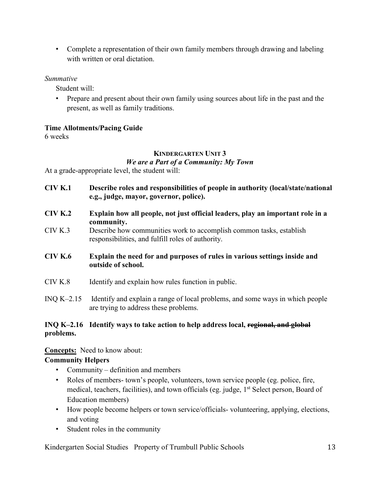• Complete a representation of their own family members through drawing and labeling with written or oral dictation.

### *Summative*

Student will:

• Prepare and present about their own family using sources about life in the past and the present, as well as family traditions.

### **Time Allotments/Pacing Guide**

6 weeks

### **KINDERGARTEN UNIT 3** *We are a Part of a Community: My Town*

At a grade-appropriate level, the student will:

- **CIV K.1 Describe roles and responsibilities of people in authority (local/state/national e.g., judge, mayor, governor, police).**
- **CIV K.2 Explain how all people, not just official leaders, play an important role in a community.**
- CIV K.3 Describe how communities work to accomplish common tasks, establish responsibilities, and fulfill roles of authority.
- **CIV K.6 Explain the need for and purposes of rules in various settings inside and outside of school.**
- CIV K.8 Identify and explain how rules function in public.
- INQ K–2.15 Identify and explain a range of local problems, and some ways in which people are trying to address these problems.

### **INQ K–2.16 Identify ways to take action to help address local, regional, and global problems.**

### **Concepts:** Need to know about:

### **Community Helpers**

- Community definition and members
- Roles of members- town's people, volunteers, town service people (eg. police, fire, medical, teachers, facilities), and town officials (eg. judge, 1<sup>st</sup> Select person, Board of Education members)
- How people become helpers or town service/officials- volunteering, applying, elections, and voting
- Student roles in the community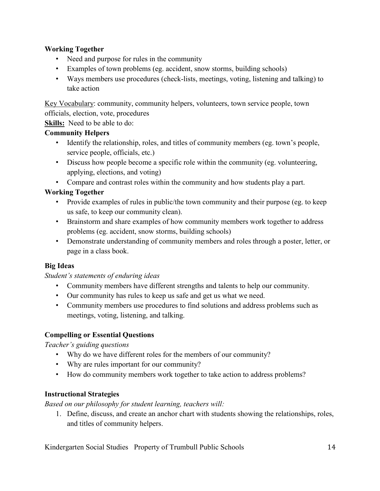### **Working Together**

- Need and purpose for rules in the community
- Examples of town problems (eg. accident, snow storms, building schools)
- Ways members use procedures (check-lists, meetings, voting, listening and talking) to take action

Key Vocabulary: community, community helpers, volunteers, town service people, town officials, election, vote, procedures

**Skills:** Need to be able to do:

### **Community Helpers**

- Identify the relationship, roles, and titles of community members (eg. town's people, service people, officials, etc.)
- Discuss how people become a specific role within the community (eg. volunteering, applying, elections, and voting)
- Compare and contrast roles within the community and how students play a part.

### **Working Together**

- Provide examples of rules in public/the town community and their purpose (eg. to keep us safe, to keep our community clean).
- Brainstorm and share examples of how community members work together to address problems (eg. accident, snow storms, building schools)
- Demonstrate understanding of community members and roles through a poster, letter, or page in a class book.

### **Big Ideas**

### *Student's statements of enduring ideas*

- Community members have different strengths and talents to help our community.
- Our community has rules to keep us safe and get us what we need.
- Community members use procedures to find solutions and address problems such as meetings, voting, listening, and talking.

### **Compelling or Essential Questions**

*Teacher's guiding questions*

- Why do we have different roles for the members of our community?
- Why are rules important for our community?
- How do community members work together to take action to address problems?

### **Instructional Strategies**

*Based on our philosophy for student learning, teachers will:*

1. Define, discuss, and create an anchor chart with students showing the relationships, roles, and titles of community helpers.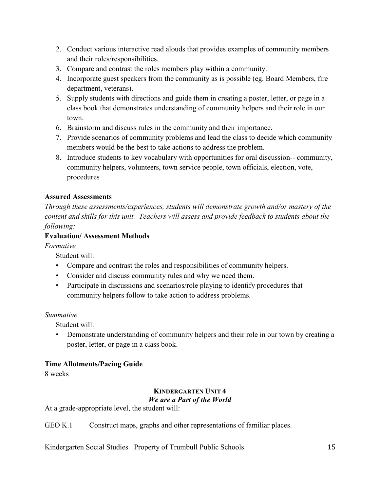- 2. Conduct various interactive read alouds that provides examples of community members and their roles/responsibilities.
- 3. Compare and contrast the roles members play within a community.
- 4. Incorporate guest speakers from the community as is possible (eg. Board Members, fire department, veterans).
- 5. Supply students with directions and guide them in creating a poster, letter, or page in a class book that demonstrates understanding of community helpers and their role in our town.
- 6. Brainstorm and discuss rules in the community and their importance.
- 7. Provide scenarios of community problems and lead the class to decide which community members would be the best to take actions to address the problem.
- 8. Introduce students to key vocabulary with opportunities for oral discussion-- community, community helpers, volunteers, town service people, town officials, election, vote, procedures

### **Assured Assessments**

*Through these assessments/experiences, students will demonstrate growth and/or mastery of the content and skills for this unit. Teachers will assess and provide feedback to students about the following:*

### **Evaluation/ Assessment Methods**

*Formative*

Student will:

- Compare and contrast the roles and responsibilities of community helpers.
- Consider and discuss community rules and why we need them.
- Participate in discussions and scenarios/role playing to identify procedures that community helpers follow to take action to address problems.

### *Summative*

Student will:

• Demonstrate understanding of community helpers and their role in our town by creating a poster, letter, or page in a class book.

### **Time Allotments/Pacing Guide**

8 weeks

### **KINDERGARTEN UNIT 4**

### *We are a Part of the World*

At a grade-appropriate level, the student will:

GEO K.1 Construct maps, graphs and other representations of familiar places.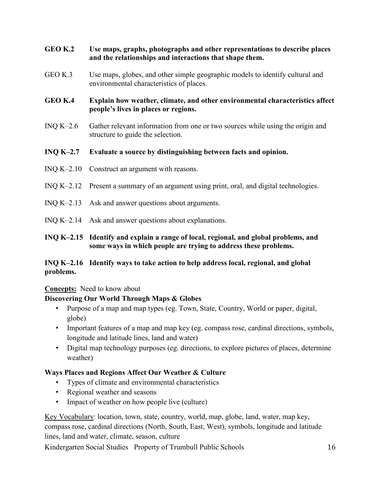### **GEO K.2 Use maps, graphs, photographs and other representations to describe places and the relationships and interactions that shape them.**

GEO K.3 Use maps, globes, and other simple geographic models to identify cultural and environmental characteristics of places.

### **GEO K.4 Explain how weather, climate, and other environmental characteristics affect people's lives in places or regions.**

INQ K–2.6 Gather relevant information from one or two sources while using the origin and structure to guide the selection.

### **INQ K–2.7 Evaluate a source by distinguishing between facts and opinion.**

- INQ K–2.10 Construct an argument with reasons.
- INQ K–2.12 Present a summary of an argument using print, oral, and digital technologies.
- INQ K–2.13 Ask and answer questions about arguments.
- INQ K–2.14 Ask and answer questions about explanations.

### **INQ K–2.15 Identify and explain a range of local, regional, and global problems, and some ways in which people are trying to address these problems.**

### **INQ K–2.16 Identify ways to take action to help address local, regional, and global problems.**

### **Concepts:** Need to know about

### **Discovering Our World Through Maps & Globes**

- Purpose of a map and map types (eg. Town, State, Country, World or paper, digital, globe)
- Important features of a map and map key (eg. compass rose, cardinal directions, symbols, longitude and latitude lines, land and water)
- Digital map technology purposes (eg. directions, to explore pictures of places, determine weather)

### **Ways Places and Regions Affect Our Weather & Culture**

- Types of climate and environmental characteristics
- Regional weather and seasons
- Impact of weather on how people live (culture)

Key Vocabulary: location, town, state, country, world, map, globe, land, water, map key, compass rose, cardinal directions (North, South, East, West), symbols, longitude and latitude lines, land and water, climate, season, culture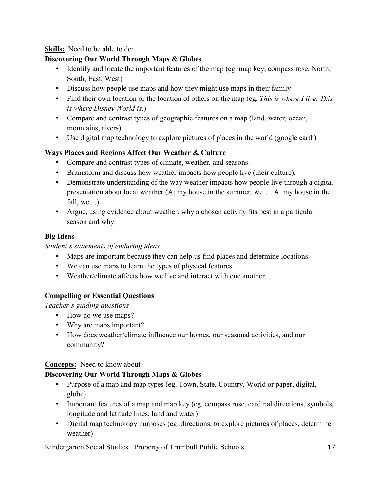### **Skills:** Need to be able to do:

### **Discovering Our World Through Maps & Globes**

- Identify and locate the important features of the map (eg. map key, compass rose, North, South, East, West)
- Discuss how people use maps and how they might use maps in their family
- Find their own location or the location of others on the map (eg. *This is where I live. This is where Disney World is*.)
- Compare and contrast types of geographic features on a map (land, water, ocean, mountains, rivers)
- Use digital map technology to explore pictures of places in the world (google earth)

### **Ways Places and Regions Affect Our Weather & Culture**

- Compare and contrast types of climate, weather, and seasons.
- Brainstorm and discuss how weather impacts how people live (their culture).
- Demonstrate understanding of the way weather impacts how people live through a digital presentation about local weather (At my house in the summer, we…. At my house in the fall, we…).
- Argue, using evidence about weather, why a chosen activity fits best in a particular season and why.

### **Big Ideas**

### *Student's statements of enduring ideas*

- Maps are important because they can help us find places and determine locations.
- We can use maps to learn the types of physical features.
- Weather/climate affects how we live and interact with one another.

### **Compelling or Essential Questions**

*Teacher's guiding questions*

- How do we use maps?
- Why are maps important?
- How does weather/climate influence our homes, our seasonal activities, and our community?

### **Concepts:** Need to know about

### **Discovering Our World Through Maps & Globes**

- Purpose of a map and map types (eg. Town, State, Country, World or paper, digital, globe)
- Important features of a map and map key (eg. compass rose, cardinal directions, symbols, longitude and latitude lines, land and water)
- Digital map technology purposes (eg. directions, to explore pictures of places, determine weather)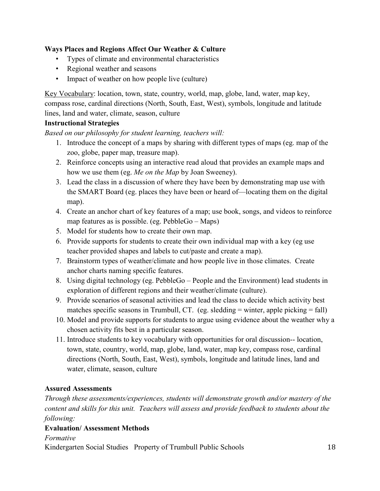### **Ways Places and Regions Affect Our Weather & Culture**

- Types of climate and environmental characteristics
- Regional weather and seasons
- Impact of weather on how people live (culture)

Key Vocabulary: location, town, state, country, world, map, globe, land, water, map key, compass rose, cardinal directions (North, South, East, West), symbols, longitude and latitude lines, land and water, climate, season, culture

### **Instructional Strategies**

*Based on our philosophy for student learning, teachers will:*

- 1. Introduce the concept of a maps by sharing with different types of maps (eg. map of the zoo, globe, paper map, treasure map).
- 2. Reinforce concepts using an interactive read aloud that provides an example maps and how we use them (eg. *Me on the Map* by Joan Sweeney).
- 3. Lead the class in a discussion of where they have been by demonstrating map use with the SMART Board (eg. places they have been or heard of—locating them on the digital map).
- 4. Create an anchor chart of key features of a map; use book, songs, and videos to reinforce map features as is possible. (eg. PebbleGo – Maps)
- 5. Model for students how to create their own map.
- 6. Provide supports for students to create their own individual map with a key (eg use teacher provided shapes and labels to cut/paste and create a map).
- 7. Brainstorm types of weather/climate and how people live in those climates. Create anchor charts naming specific features.
- 8. Using digital technology (eg. PebbleGo People and the Environment) lead students in exploration of different regions and their weather/climate (culture).
- 9. Provide scenarios of seasonal activities and lead the class to decide which activity best matches specific seasons in Trumbull, CT. (eg. sledding  $=$  winter, apple picking  $=$  fall)
- 10. Model and provide supports for students to argue using evidence about the weather why a chosen activity fits best in a particular season.
- 11. Introduce students to key vocabulary with opportunities for oral discussion-- location, town, state, country, world, map, globe, land, water, map key, compass rose, cardinal directions (North, South, East, West), symbols, longitude and latitude lines, land and water, climate, season, culture

### **Assured Assessments**

*Through these assessments/experiences, students will demonstrate growth and/or mastery of the content and skills for this unit. Teachers will assess and provide feedback to students about the following:*

### **Evaluation/ Assessment Methods**

*Formative*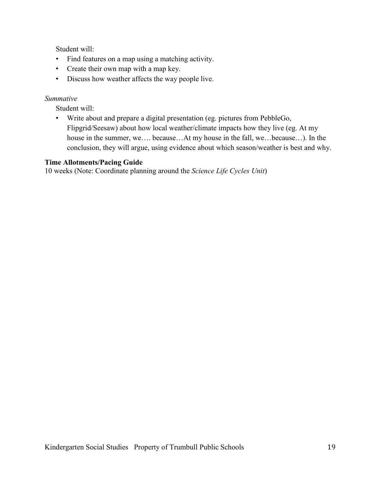Student will:

- Find features on a map using a matching activity.
- Create their own map with a map key.
- Discuss how weather affects the way people live.

#### *Summative*

Student will:

• Write about and prepare a digital presentation (eg. pictures from PebbleGo, Flipgrid/Seesaw) about how local weather/climate impacts how they live (eg. At my house in the summer, we…. because…At my house in the fall, we…because…). In the conclusion, they will argue, using evidence about which season/weather is best and why.

### **Time Allotments/Pacing Guide**

10 weeks (Note: Coordinate planning around the *Science Life Cycles Unit*)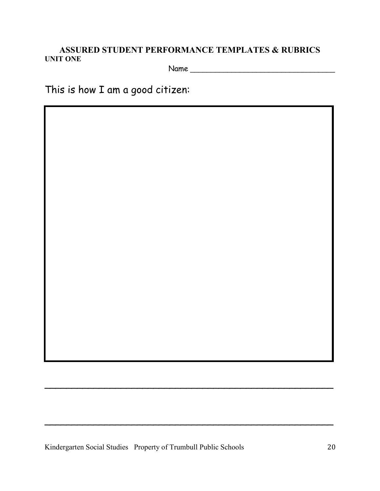### **ASSURED STUDENT PERFORMANCE TEMPLATES & RUBRICS UNIT ONE** Name \_\_\_\_\_\_\_\_\_\_\_\_\_\_\_\_\_\_\_\_\_\_\_\_\_\_\_\_\_\_\_\_\_\_\_

This is how I am a good citizen:

Kindergarten Social Studies Property of Trumbull Public Schools 20

\_\_\_\_\_\_\_\_\_\_\_\_\_\_\_\_\_\_\_\_\_\_\_\_\_\_\_\_\_\_\_\_\_\_\_\_\_\_\_\_\_\_\_\_\_\_\_\_\_\_\_\_\_

\_\_\_\_\_\_\_\_\_\_\_\_\_\_\_\_\_\_\_\_\_\_\_\_\_\_\_\_\_\_\_\_\_\_\_\_\_\_\_\_\_\_\_\_\_\_\_\_\_\_\_\_\_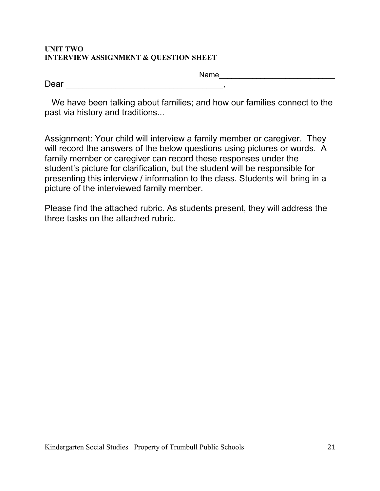### **UNIT TWO INTERVIEW ASSIGNMENT & QUESTION SHEET**

| −<br>$  -$<br>◡<br>∽ |  |
|----------------------|--|

 We have been talking about families; and how our families connect to the past via history and traditions...

Assignment: Your child will interview a family member or caregiver. They will record the answers of the below questions using pictures or words. A family member or caregiver can record these responses under the student's picture for clarification, but the student will be responsible for presenting this interview / information to the class. Students will bring in a picture of the interviewed family member.

Please find the attached rubric. As students present, they will address the three tasks on the attached rubric.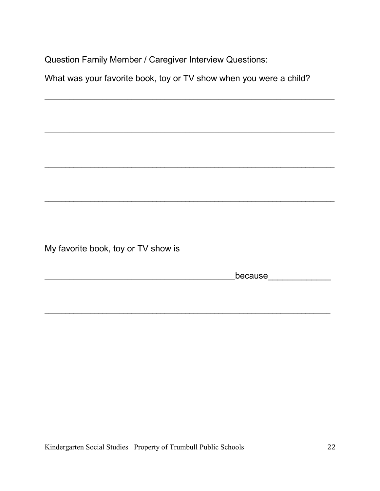Question Family Member / Caregiver Interview Questions:

What was your favorite book, toy or TV show when you were a child?

\_\_\_\_\_\_\_\_\_\_\_\_\_\_\_\_\_\_\_\_\_\_\_\_\_\_\_\_\_\_\_\_\_\_\_\_\_\_\_\_\_\_\_\_\_\_\_\_\_\_\_\_\_\_\_\_\_\_\_\_\_\_\_\_\_\_\_\_\_\_

\_\_\_\_\_\_\_\_\_\_\_\_\_\_\_\_\_\_\_\_\_\_\_\_\_\_\_\_\_\_\_\_\_\_\_\_\_\_\_\_\_\_\_\_\_\_\_\_\_\_\_\_\_\_\_\_\_\_\_\_\_\_\_\_\_\_\_\_\_\_

\_\_\_\_\_\_\_\_\_\_\_\_\_\_\_\_\_\_\_\_\_\_\_\_\_\_\_\_\_\_\_\_\_\_\_\_\_\_\_\_\_\_\_\_\_\_\_\_\_\_\_\_\_\_\_\_\_\_\_\_\_\_\_\_\_\_\_\_\_\_

\_\_\_\_\_\_\_\_\_\_\_\_\_\_\_\_\_\_\_\_\_\_\_\_\_\_\_\_\_\_\_\_\_\_\_\_\_\_\_\_\_\_\_\_\_\_\_\_\_\_\_\_\_\_\_\_\_\_\_\_\_\_\_\_\_\_\_\_\_\_

\_\_\_\_\_\_\_\_\_\_\_\_\_\_\_\_\_\_\_\_\_\_\_\_\_\_\_\_\_\_\_\_\_\_\_\_\_\_\_\_\_\_\_\_\_\_\_\_\_\_\_\_\_\_\_\_\_\_\_\_\_\_\_\_\_\_\_\_\_

My favorite book, toy or TV show is

\_\_\_\_\_\_\_\_\_\_\_\_\_\_\_\_\_\_\_\_\_\_\_\_\_\_\_\_\_\_\_\_\_\_\_\_\_\_\_\_\_\_\_\_\_\_because\_\_\_\_\_\_\_\_\_\_\_\_\_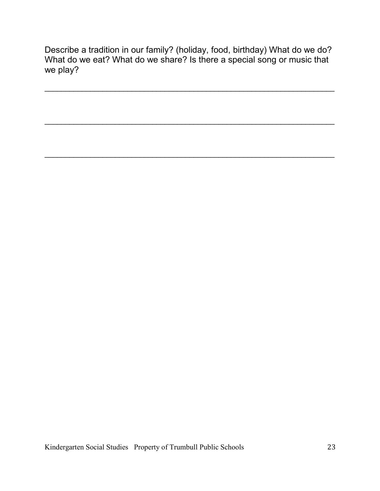Describe a tradition in our family? (holiday, food, birthday) What do we do? What do we eat? What do we share? Is there a special song or music that we play?

\_\_\_\_\_\_\_\_\_\_\_\_\_\_\_\_\_\_\_\_\_\_\_\_\_\_\_\_\_\_\_\_\_\_\_\_\_\_\_\_\_\_\_\_\_\_\_\_\_\_\_\_\_\_\_\_\_\_\_\_\_\_\_\_\_\_\_\_\_\_

\_\_\_\_\_\_\_\_\_\_\_\_\_\_\_\_\_\_\_\_\_\_\_\_\_\_\_\_\_\_\_\_\_\_\_\_\_\_\_\_\_\_\_\_\_\_\_\_\_\_\_\_\_\_\_\_\_\_\_\_\_\_\_\_\_\_\_\_\_\_

\_\_\_\_\_\_\_\_\_\_\_\_\_\_\_\_\_\_\_\_\_\_\_\_\_\_\_\_\_\_\_\_\_\_\_\_\_\_\_\_\_\_\_\_\_\_\_\_\_\_\_\_\_\_\_\_\_\_\_\_\_\_\_\_\_\_\_\_\_\_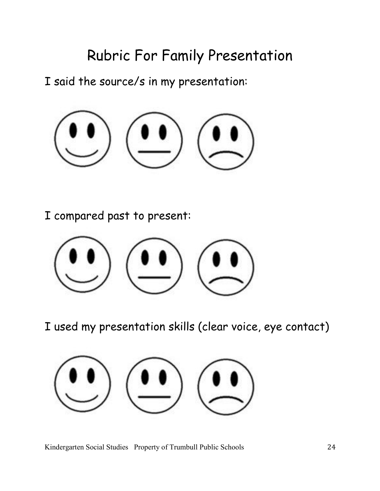# Rubric For Family Presentation

I said the source/s in my presentation:



I compared past to present:



I used my presentation skills (clear voice, eye contact)

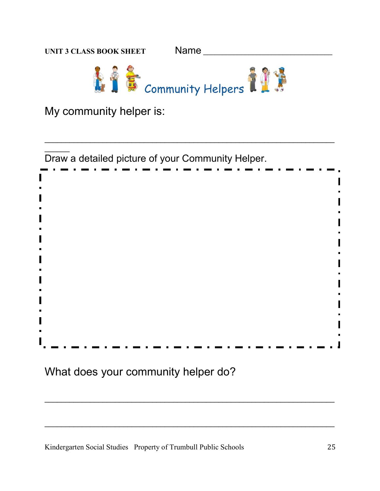

My community helper is:

 $\overline{\phantom{a}}$ Draw a detailed picture of your Community Helper.

\_\_\_\_\_\_\_\_\_\_\_\_\_\_\_\_\_\_\_\_\_\_\_\_\_\_\_\_\_\_\_\_\_\_\_\_\_\_\_\_\_\_\_\_\_\_\_\_\_\_\_\_\_\_\_\_\_\_\_\_\_\_\_\_\_\_\_\_\_\_

\_\_\_\_\_\_\_\_\_\_\_\_\_\_\_\_\_\_\_\_\_\_\_\_\_\_\_\_\_\_\_\_\_\_\_\_\_\_\_\_\_\_\_\_\_\_\_\_\_\_\_\_\_\_\_\_\_\_\_\_\_\_\_\_\_\_\_\_\_\_

\_\_\_\_\_\_\_\_\_\_\_\_\_\_\_\_\_\_\_\_\_\_\_\_\_\_\_\_\_\_\_\_\_\_\_\_\_\_\_\_\_\_\_\_\_\_\_\_\_\_\_\_\_\_\_\_\_\_\_\_\_\_\_\_\_\_\_\_\_\_

What does your community helper do?